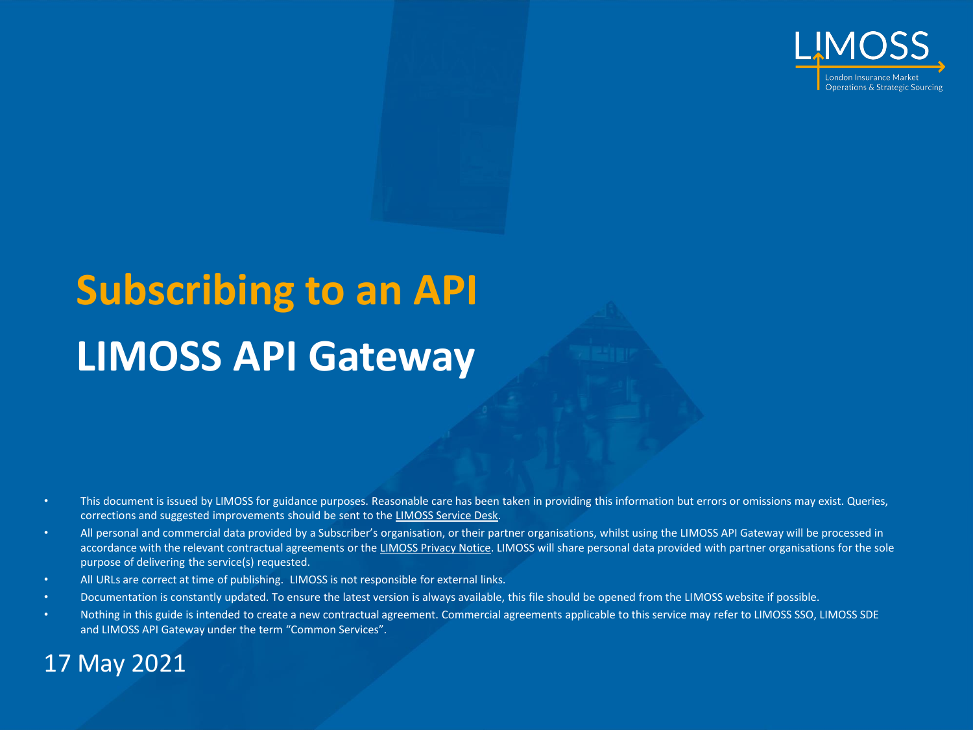

# **Subscribing to an API LIMOSS API Gateway**

- This document is issued by LIMOSS for guidance purposes. Reasonable care has been taken in providing this information but errors or omissions may exist. Queries, corrections and suggested improvements should be sent to the [LIMOSS Service Desk.](mailto:servicedesk@limoss.london?subject=LIMOSS%20API%20Gateway%20Support%20Request)
- All personal and commercial data provided by a Subscriber's organisation, or their partner organisations, whilst using the LIMOSS API Gateway will be processed in accordance with the relevant contractual agreements or the [LIMOSS Privacy Notice](https://www.limoss.london/privacy-and-cookies). LIMOSS will share personal data provided with partner organisations for the sole purpose of delivering the service(s) requested.
- All URLs are correct at time of publishing. LIMOSS is not responsible for external links.
- Documentation is constantly updated. To ensure the latest version is always available, this file should be opened from the LIMOSS website if possible.
- Nothing in this guide is intended to create a new contractual agreement. Commercial agreements applicable to this service may refer to LIMOSS SSO, LIMOSS SDE and LIMOSS API Gateway under the term "Common Services".

#### 17 May 2021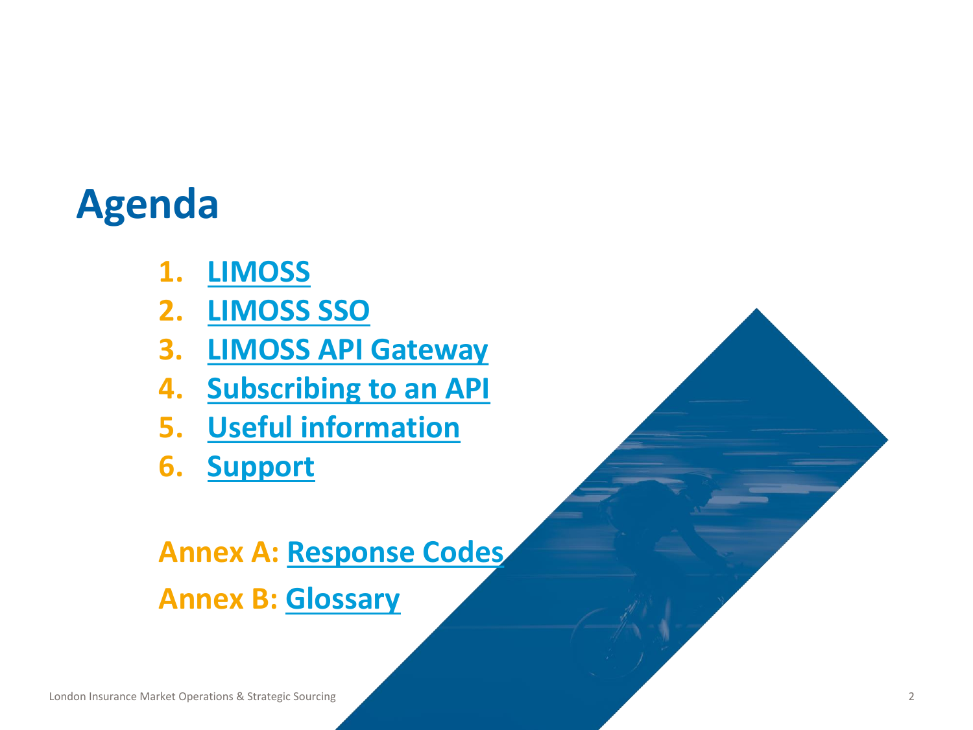### **Agenda**

- **1. [LIMOSS](#page-2-0)**
- **2. [LIMOSS SSO](#page-4-0)**
- **3. [LIMOSS API Gateway](#page-7-0)**
- **4. [Subscribing to an API](#page-9-0)**
- **5. [Useful information](#page-14-0)**
- **6. [Support](#page-18-0)**

### **Annex A: [Response Codes](#page-21-0) Annex B: [Glossary](#page-24-0)**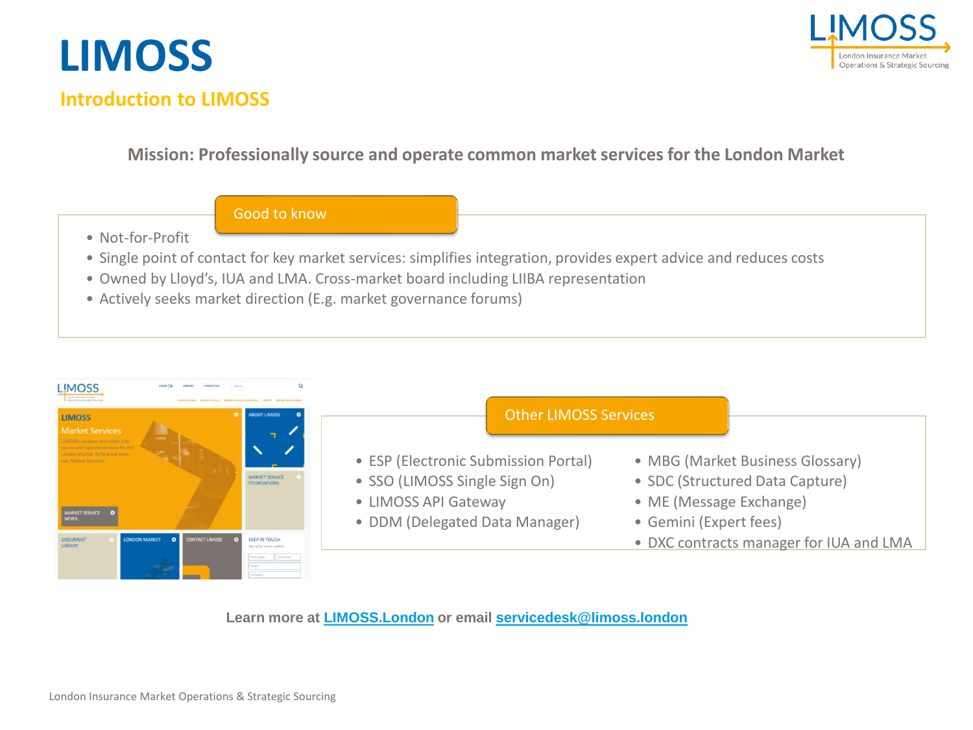

#### **Introduction to LIMOSS**

<span id="page-2-0"></span>**LIMOSS**

#### **Mission: Professionally source and operate common market services for the London Market**

- Good to know
- Not-for-Profit
- Single point of contact for key market services: simplifies integration, provides expert advice and reduces costs
- Owned by Lloyd's, IUA and LMA. Cross-market board including LIIBA representation
- Actively seeks market direction (E.g. market governance forums)

| <b>LIMOSS</b><br><b>LIMOSS</b><br><b>Market Services</b>                                          | <b>ABOUT LIMOSS</b>                                                                                                     | <b>Other LIMOSS Services</b>                                                                                                    |                                                                                                                          |
|---------------------------------------------------------------------------------------------------|-------------------------------------------------------------------------------------------------------------------------|---------------------------------------------------------------------------------------------------------------------------------|--------------------------------------------------------------------------------------------------------------------------|
| meters Market. In find out mass<br>aw. 'Aharloot Services<br><b>MARKET SERVICE</b><br><b>NEWS</b> | <b>MARKET SERVICE</b><br><b>FOUNDATIONS</b>                                                                             | • ESP (Electronic Submission Portal)<br>• SSO (LIMOSS Single Sign On)<br>• LIMOSS API Gateway<br>• DDM (Delegated Data Manager) | • MBG (Market Business Glossary)<br>• SDC (Structured Data Capture)<br>• ME (Message Exchange)<br>• Gemini (Expert fees) |
| LONDON MARKET<br>CONTACT LIMOSS<br><b>DOCUMENT</b>                                                | <b>KEEP IN TOUCH</b><br>Sign cq. for Asturn updates<br><b>Elect Augment</b><br>Loot name<br><b><i><u>Finald</u></i></b> |                                                                                                                                 | • DXC contracts manager for IUA and LMA                                                                                  |

**Learn more at [LIMOSS.London](https://limoss.london/) or email [servicedesk@limoss.london](mailto:servicedesk@limoss.london)**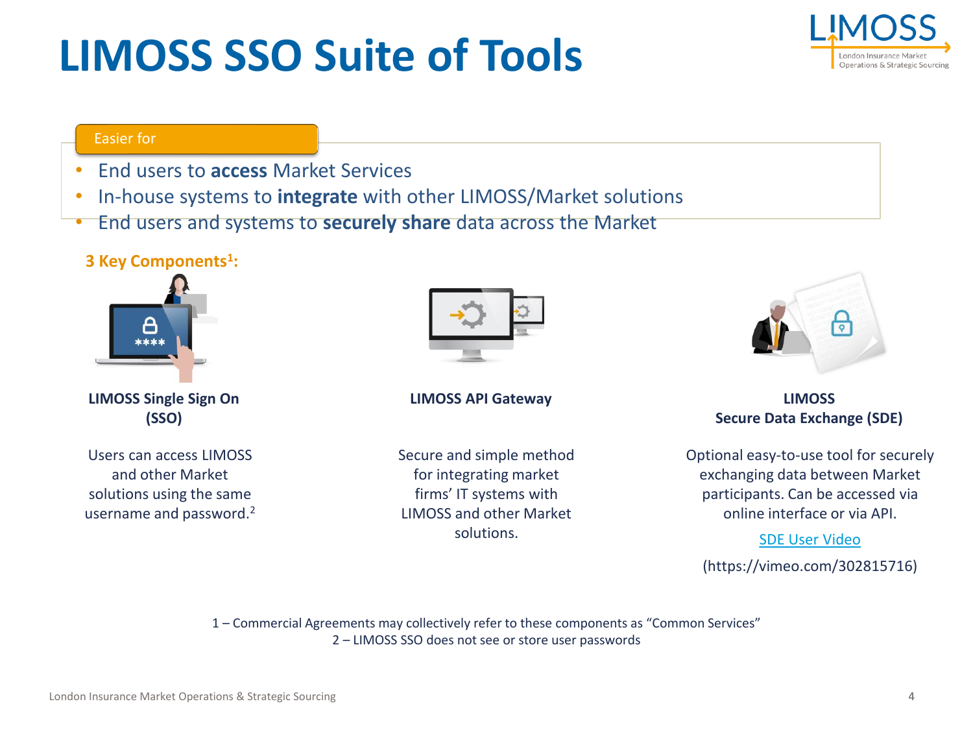## **LIMOSS SSO Suite of Tools**



#### Easier for

- End users to **access** Market Services
- In-house systems to **integrate** with other LIMOSS/Market solutions
- End users and systems to **securely share** data across the Market

#### **3 Key Components<sup>1</sup> :**



**LIMOSS Single Sign On (SSO)**

Users can access LIMOSS and other Market solutions using the same username and password.<sup>2</sup>



#### **LIMOSS API Gateway**

Secure and simple method for integrating market firms' IT systems with LIMOSS and other Market solutions.



**LIMOSS Secure Data Exchange (SDE)**

Optional easy-to-use tool for securely exchanging data between Market participants. Can be accessed via online interface or via API.

#### [SDE User Video](https://vimeo.com/302815716)

(https://vimeo.com/302815716)

1 – Commercial Agreements may collectively refer to these components as "Common Services" 2 – LIMOSS SSO does not see or store user passwords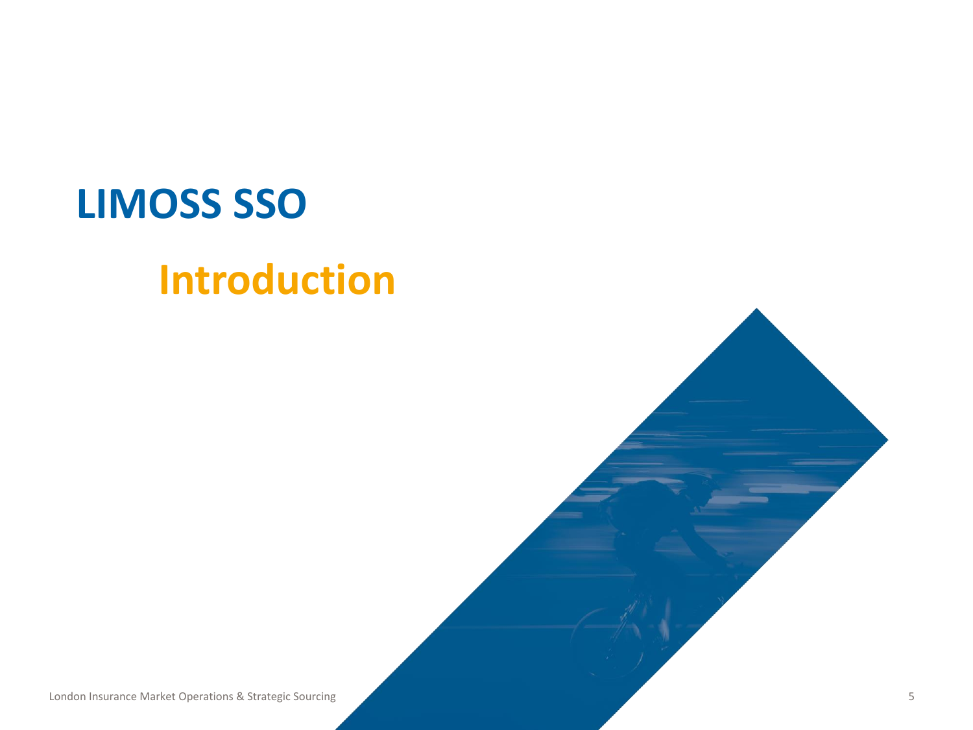### <span id="page-4-0"></span>**LIMOSS SSO**

### **Introduction**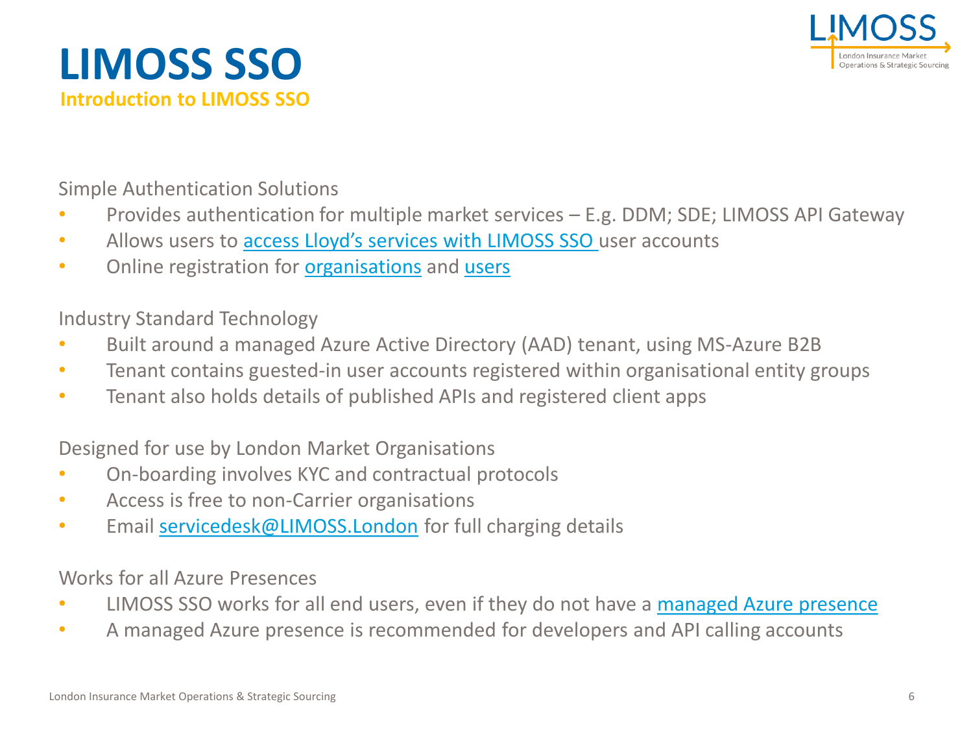



Simple Authentication Solutions

- Provides authentication for multiple market services E.g. DDM; SDE; LIMOSS API Gateway
- Allows users to [access Lloyd's services](https://admin.limoss.london/wp-content/uploads/2021/04/Accessing-Lloyds-Services-with-LIMOSS-SSO.pdf) with LIMOSS SSO user accounts
- Online registration for **organisations** and [users](https://limoss.london/sso-user-registration)

Industry Standard Technology

- Built around a managed Azure Active Directory (AAD) tenant, using MS-Azure B2B
- Tenant contains guested-in user accounts registered within organisational entity groups
- Tenant also holds details of published APIs and registered client apps

Designed for use by London Market Organisations

- On-boarding involves KYC and contractual protocols
- Access is free to non-Carrier organisations
- Email [servicedesk@LIMOSS.London](mailto:servicedesk@LIMOSS.London) for full charging details

Works for all Azure Presences

- LIMOSS SSO works for all end users, even if they do not have a [managed Azure presence](https://admin.limoss.london/wp-content/uploads/2020/06/LIMOSS-SSO-Technical-Overview.pdf)
- A managed Azure presence is recommended for developers and API calling accounts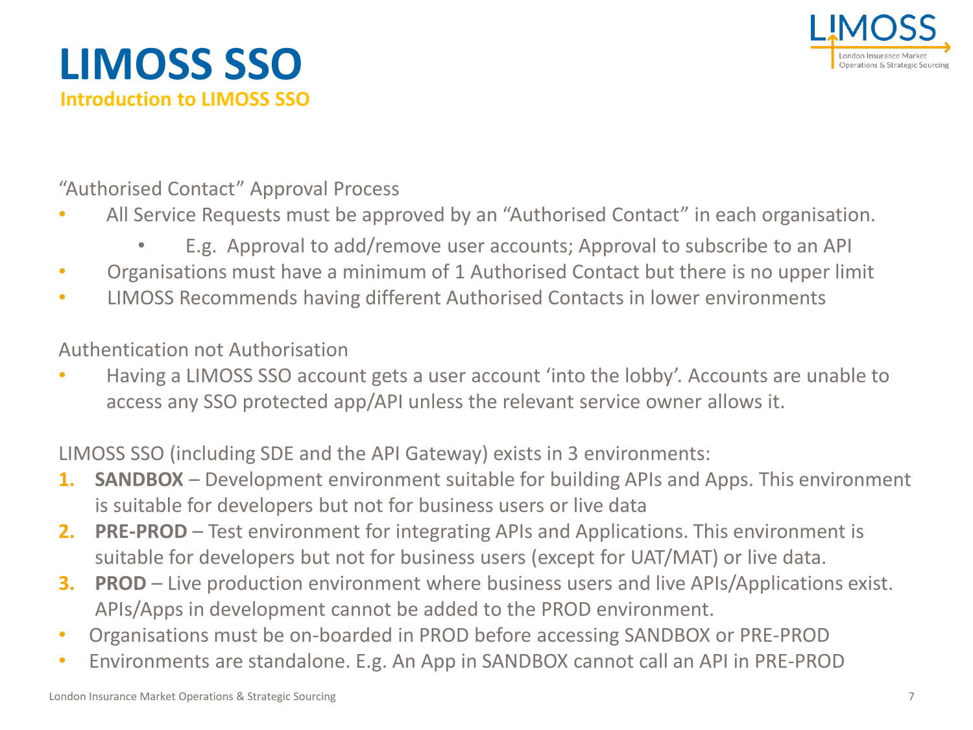



"Authorised Contact" Approval Process

- All Service Requests must be approved by an "Authorised Contact" in each organisation.
	- E.g. Approval to add/remove user accounts; Approval to subscribe to an API
- Organisations must have a minimum of 1 Authorised Contact but there is no upper limit
- LIMOSS Recommends having different Authorised Contacts in lower environments

#### Authentication not Authorisation

• Having a LIMOSS SSO account gets a user account 'into the lobby'. Accounts are unable to access any SSO protected app/API unless the relevant service owner allows it.

LIMOSS SSO (including SDE and the API Gateway) exists in 3 environments:

- **1. SANDBOX** Development environment suitable for building APIs and Apps. This environment is suitable for developers but not for business users or live data
- **2. PRE-PROD** Test environment for integrating APIs and Applications. This environment is suitable for developers but not for business users (except for UAT/MAT) or live data.
- **3. PROD** Live production environment where business users and live APIs/Applications exist. APIs/Apps in development cannot be added to the PROD environment.
- Organisations must be on-boarded in PROD before accessing SANDBOX or PRE-PROD
- Environments are standalone. E.g. An App in SANDBOX cannot call an API in PRE-PROD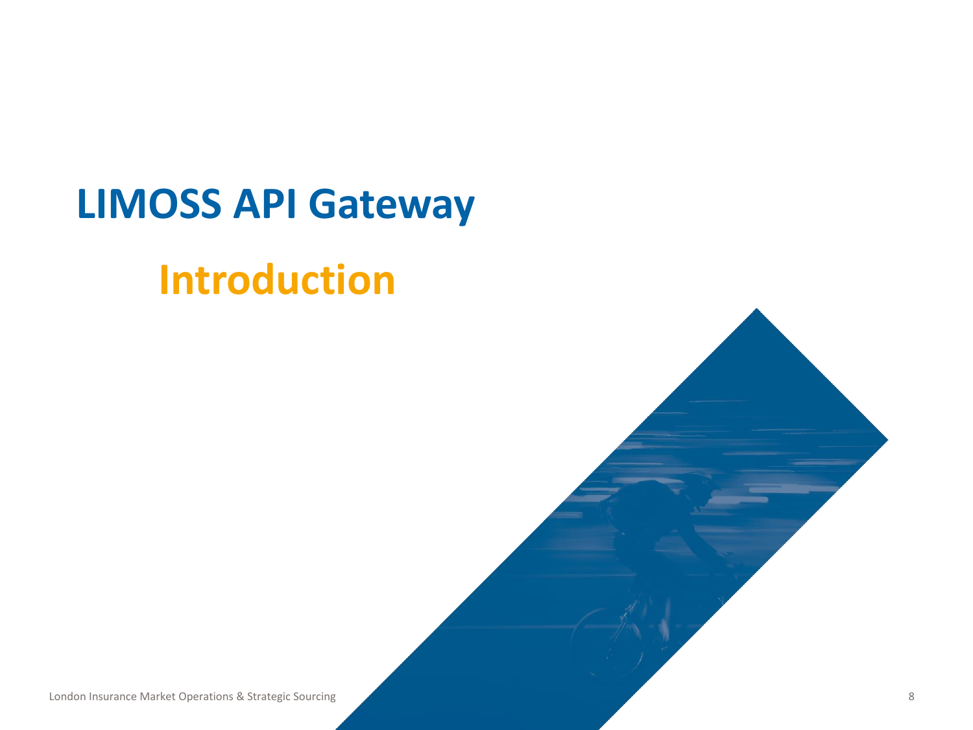### <span id="page-7-0"></span>**LIMOSS API Gateway**

### **Introduction**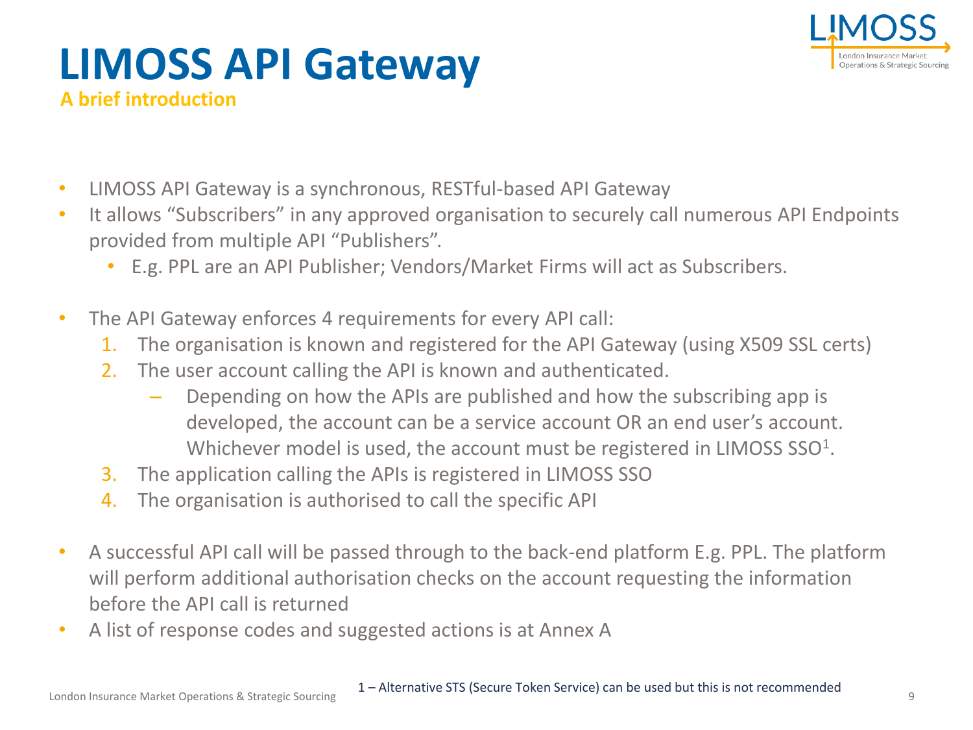

### **LIMOSS API Gateway A brief introduction**

- LIMOSS API Gateway is a synchronous, RESTful-based API Gateway
- It allows "Subscribers" in any approved organisation to securely call numerous API Endpoints provided from multiple API "Publishers".
	- E.g. PPL are an API Publisher; Vendors/Market Firms will act as Subscribers.
- The API Gateway enforces 4 requirements for every API call:
	- 1. The organisation is known and registered for the API Gateway (using X509 SSL certs)
	- 2. The user account calling the API is known and authenticated.
		- Depending on how the APIs are published and how the subscribing app is developed, the account can be a service account OR an end user's account. Whichever model is used, the account must be registered in LIMOSS  $SSO<sup>1</sup>$ .
	- 3. The application calling the APIs is registered in LIMOSS SSO
	- 4. The organisation is authorised to call the specific API
- A successful API call will be passed through to the back-end platform E.g. PPL. The platform will perform additional authorisation checks on the account requesting the information before the API call is returned
- A list of response codes and suggested actions is at Annex A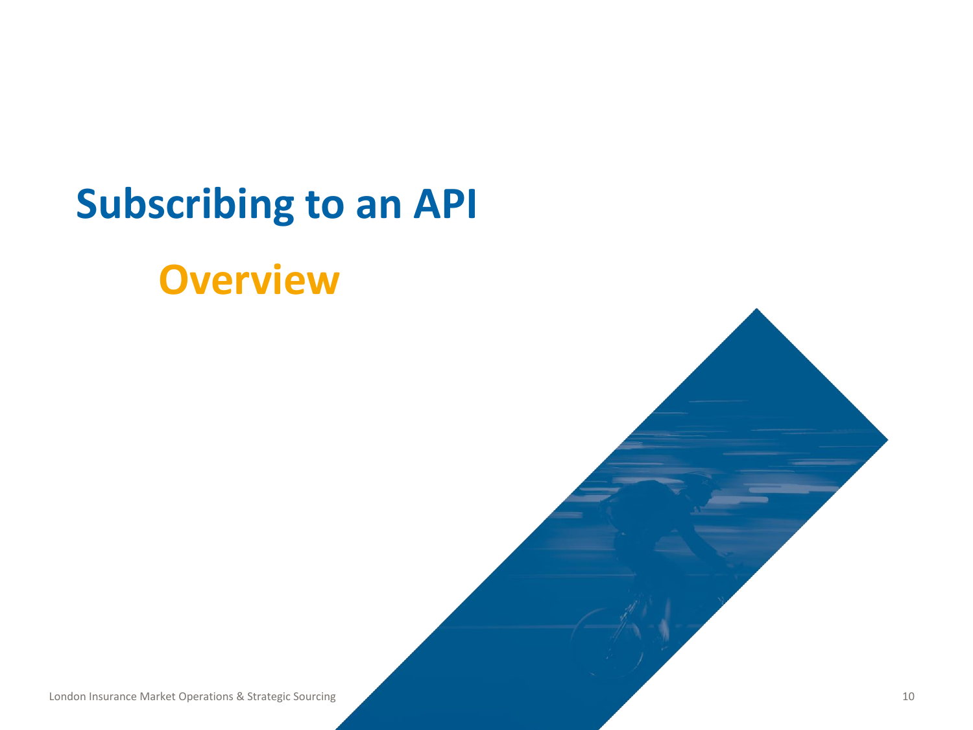### <span id="page-9-0"></span>**Subscribing to an API**

### **Overview**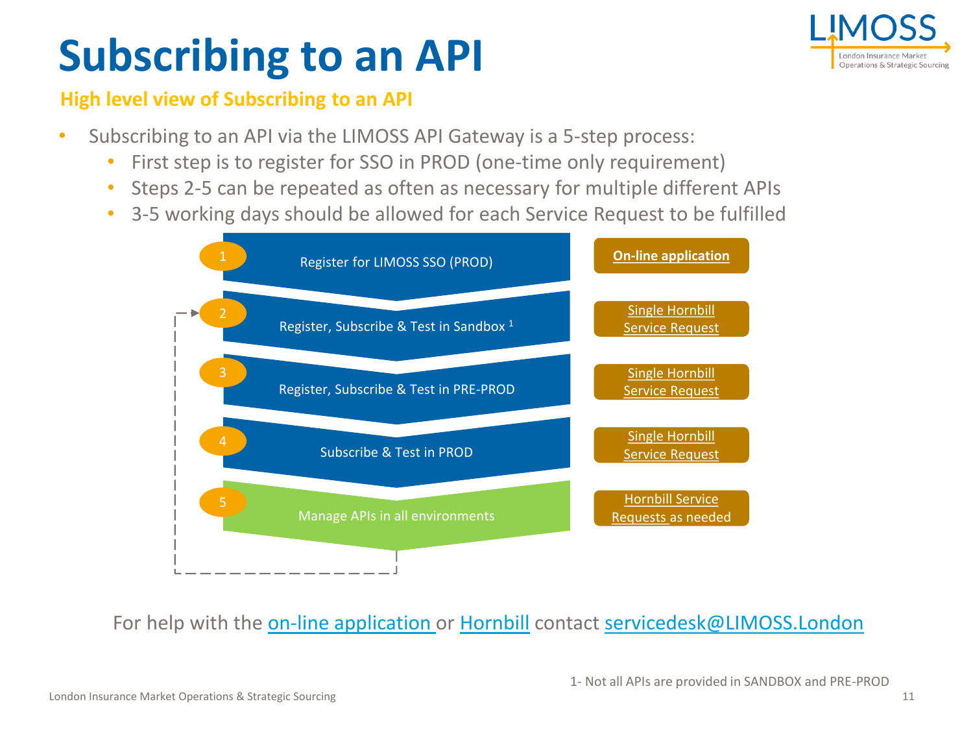# **Subscribing to an API**



#### **High level view of Subscribing to an API**

- Subscribing to an API via the LIMOSS API Gateway is a 5-step process:
	- First step is to register for SSO in PROD (one-time only requirement)
	- Steps 2-5 can be repeated as often as necessary for multiple different APIs
	- 3-5 working days should be allowed for each Service Request to be fulfilled



For help with the [on-line application o](https://limoss.london/sso-org-registration)r [Hornbill](https://customer.hornbill.com/limoss/servicemanager/service/63/catalogs/) contact [servicedesk@LIMOSS.London](mailto:servicedesk@LIMOSS.London)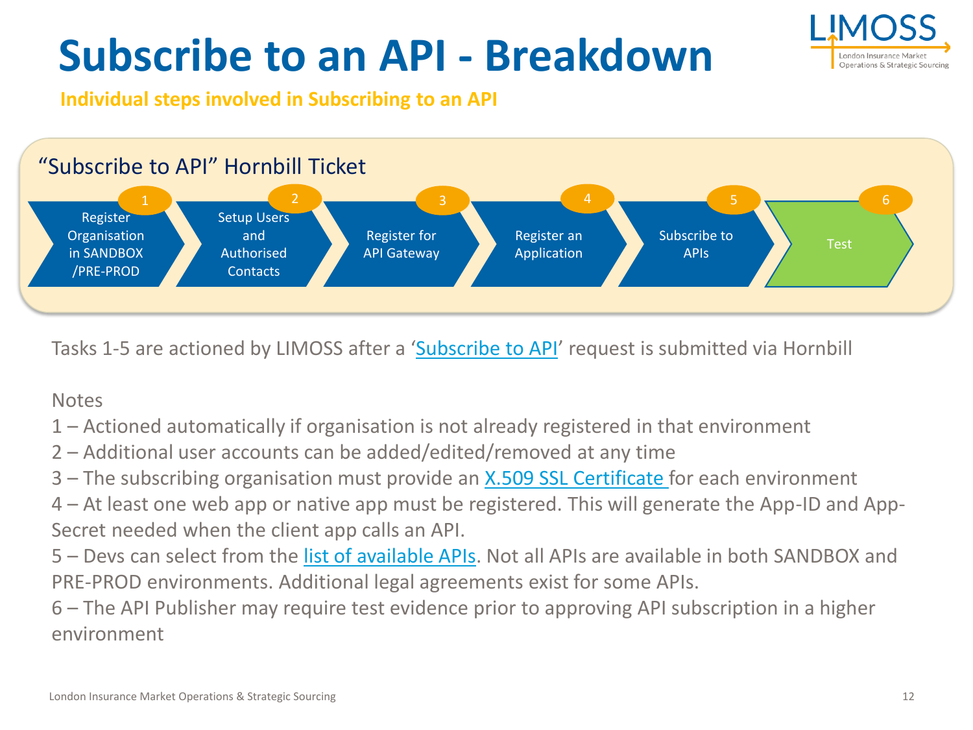

# **Subscribe to an API - Breakdown**

**Individual steps involved in Subscribing to an API**



Tasks 1-5 are actioned by LIMOSS after a '[Subscribe to API](https://customer.hornbill.com/limoss/servicemanager/service/63/catalogs/)' request is submitted via Hornbill

**Notes** 

- 1 Actioned automatically if organisation is not already registered in that environment
- 2 Additional user accounts can be added/edited/removed at any time
- 3 The subscribing organisation must provide an [X.509 SSL Certificate f](#page-15-0)or each environment
- 4 At least one web app or native app must be registered. This will generate the App-ID and App-Secret needed when the client app calls an API.
- 5 Devs can select from the [list of available APIs](https://admin.limoss.london/wp-content/uploads/2020/06/LIMOSS-API-Gateway-Available-APIs.pdf). Not all APIs are available in both SANDBOX and PRE-PROD environments. Additional legal agreements exist for some APIs.

6 – The API Publisher may require test evidence prior to approving API subscription in a higher environment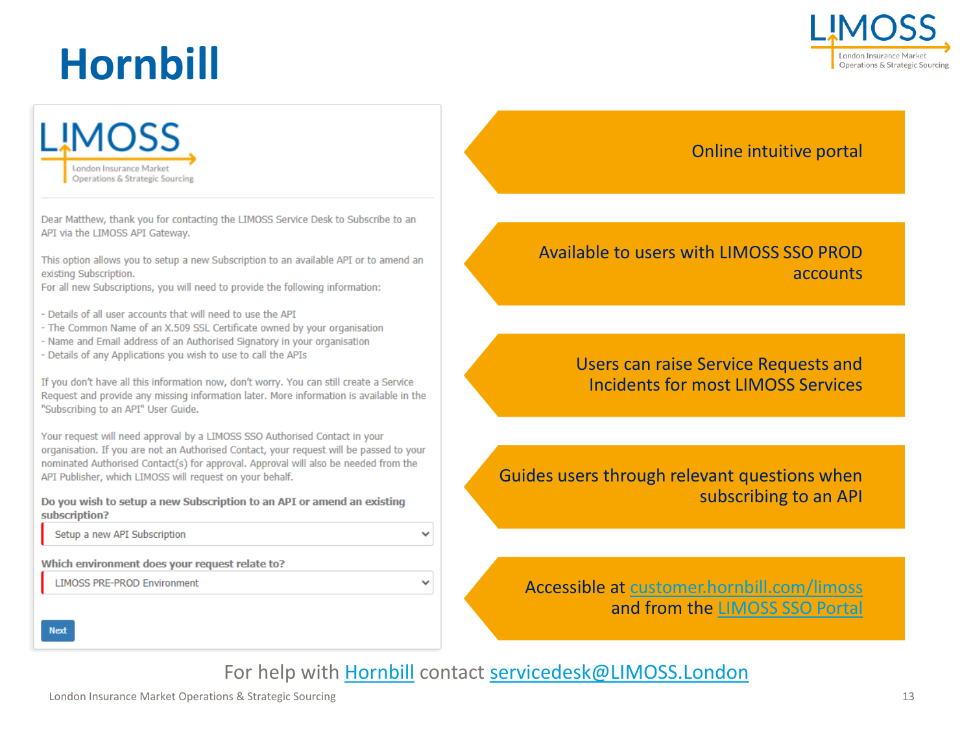# **Hornbill**





Dear Matthew, thank you for contacting the LIMOSS Service Desk to Subscribe to an API via the LIMOSS API Gateway.

This option allows you to setup a new Subscription to an available API or to amend an existing Subscription.

For all new Subscriptions, you will need to provide the following information:

- Details of all user accounts that will need to use the API
- The Common Name of an X.509 SSL Certificate owned by your organisation
- Name and Email address of an Authorised Signatory in your organisation
- Details of any Applications you wish to use to call the APIs

If you don't have all this information now, don't worry. You can still create a Service Request and provide any missing information later. More information is available in the "Subscribing to an API" User Guide.

Your request will need approval by a LIMOSS SSO Authorised Contact in your organisation. If you are not an Authorised Contact, your request will be passed to your nominated Authorised Contact(s) for approval. Approval will also be needed from the API Publisher, which LIMOSS will request on your behalf.

Do you wish to setup a new Subscription to an API or amend an existing subscription?

Setup a new API Subscription

Which environment does your request relate to?

**LIMOSS PRE-PROD Environment** 

#### Online intuitive portal

#### Available to users with LIMOSS SSO PROD accounts

Users can raise Service Requests and Incidents for most LIMOSS Services

Guides users through relevant questions when subscribing to an API

Accessible at [customer.hornbill.com/limoss](https://customer.hornbill.com/limoss/servicemanager/service/63/catalogs/) and from the [LIMOSS SSO Portal](https://portal.londonmarketgroup.co.uk/#/start)

**Next** 

For help with [Hornbill](https://customer.hornbill.com/limoss/servicemanager/service/63/catalogs/) contact [servicedesk@LIMOSS.London](mailto:servicedesk@LIMOSS.London)

 $\checkmark$ 

 $\checkmark$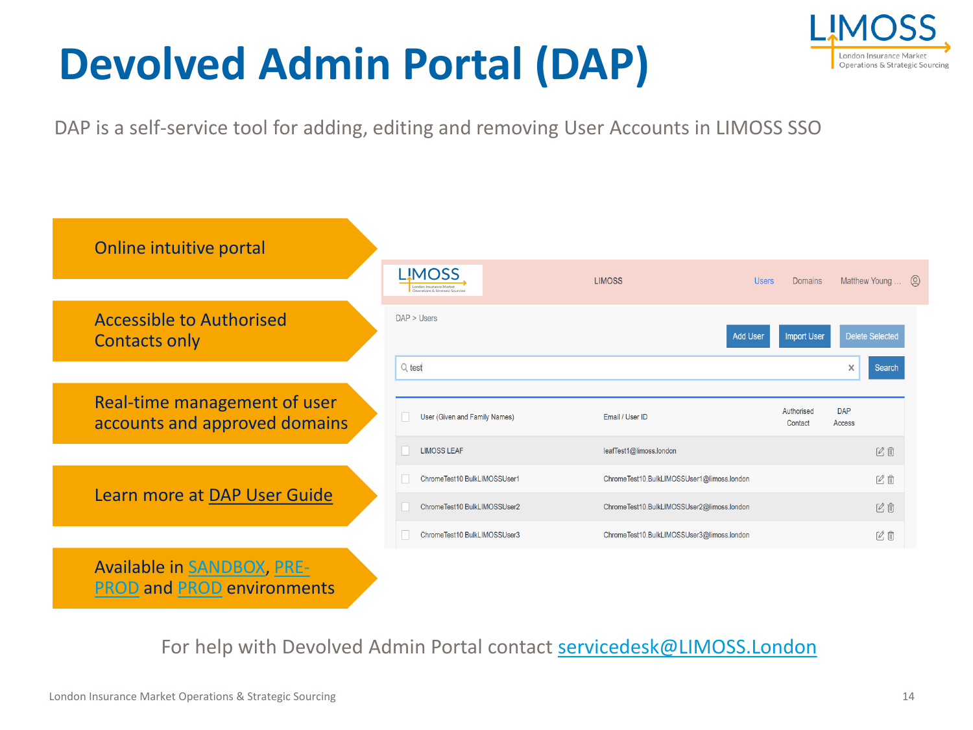# **Devolved Admin Portal (DAP)**



DAP is a self-service tool for adding, editing and removing User Accounts in LIMOSS SSO



For help with Devolved Admin Portal contact [servicedesk@LIMOSS.London](mailto:servicedesk@LIMOSS.London)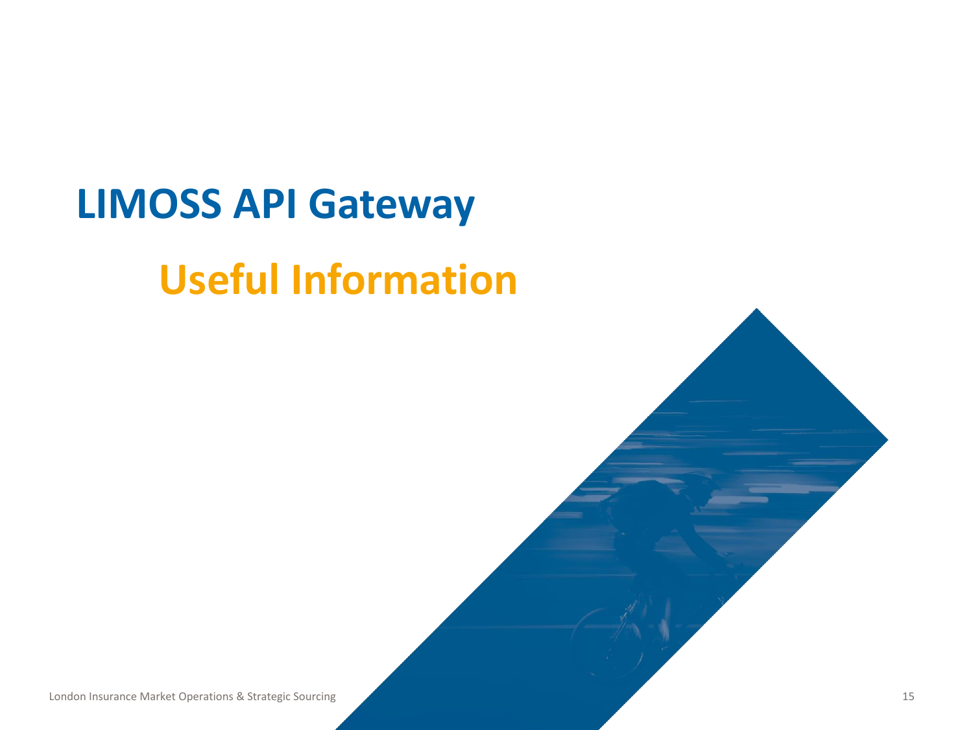### <span id="page-14-0"></span>**LIMOSS API Gateway**

### **Useful Information**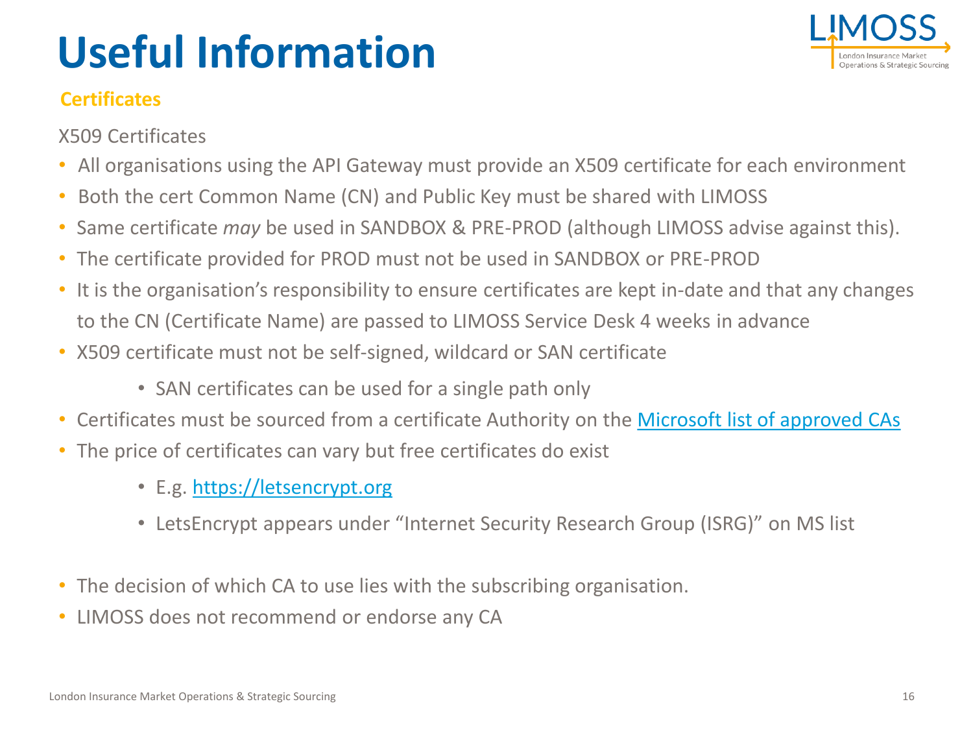# <span id="page-15-0"></span>**Useful Information**



#### **Certificates**

X509 Certificates

- All organisations using the API Gateway must provide an X509 certificate for each environment
- Both the cert Common Name (CN) and Public Key must be shared with LIMOSS
- Same certificate *may* be used in SANDBOX & PRE-PROD (although LIMOSS advise against this).
- The certificate provided for PROD must not be used in SANDBOX or PRE-PROD
- It is the organisation's responsibility to ensure certificates are kept in-date and that any changes to the CN (Certificate Name) are passed to LIMOSS Service Desk 4 weeks in advance
- X509 certificate must not be self-signed, wildcard or SAN certificate
	- SAN certificates can be used for a single path only
- Certificates must be sourced from a certificate Authority on the [Microsoft list of approved CAs](https://docs.microsoft.com/en-us/security/trusted-root/participants-list)
- The price of certificates can vary but free certificates do exist
	- E.g. [https://letsencrypt.org](https://letsencrypt.org/)
	- LetsEncrypt appears under "Internet Security Research Group (ISRG)" on MS list
- The decision of which CA to use lies with the subscribing organisation.
- LIMOSS does not recommend or endorse any CA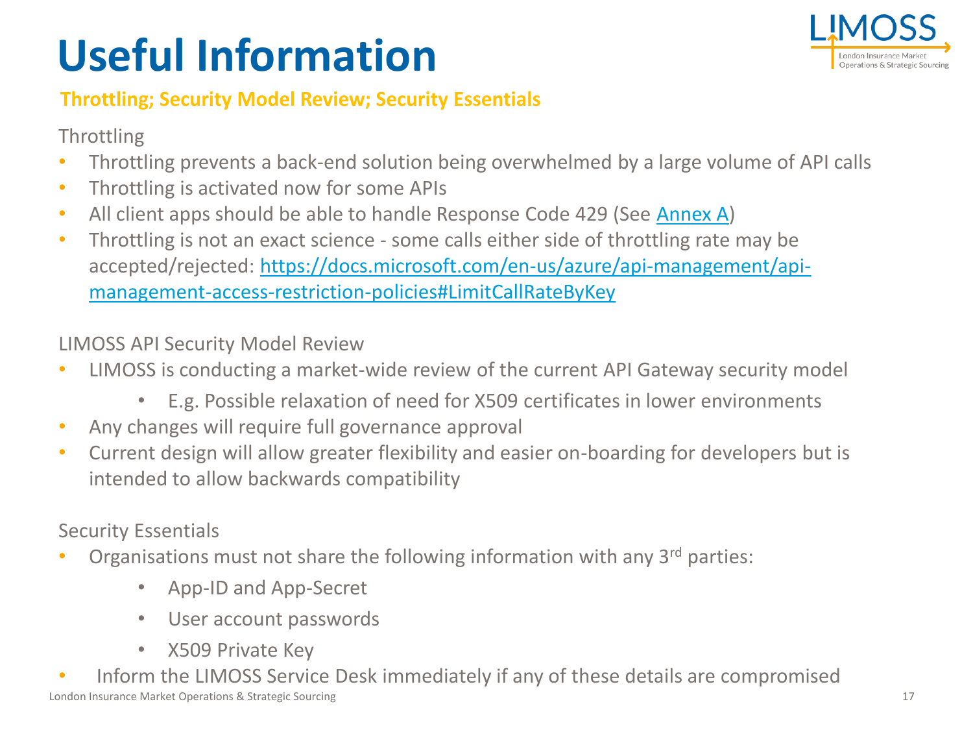# **Useful Information**



#### **Throttling; Security Model Review; Security Essentials**

#### Throttling

- Throttling prevents a back-end solution being overwhelmed by a large volume of API calls
- Throttling is activated now for some APIs
- All client apps should be able to handle Response Code 429 (See [Annex A](#page-21-0))
- Throttling is not an exact science some calls either side of throttling rate may be [accepted/rejected: https://docs.microsoft.com/en-us/azure/api-management/api](https://docs.microsoft.com/en-us/azure/api-management/api-management-access-restriction-policies#LimitCallRateByKey)management-access-restriction-policies#LimitCallRateByKey

LIMOSS API Security Model Review

- LIMOSS is conducting a market-wide review of the current API Gateway security model
	- E.g. Possible relaxation of need for X509 certificates in lower environments
- Any changes will require full governance approval
- Current design will allow greater flexibility and easier on-boarding for developers but is intended to allow backwards compatibility

Security Essentials

- Organisations must not share the following information with any 3<sup>rd</sup> parties:
	- App-ID and App-Secret
	- User account passwords
	- X509 Private Key
- London Insurance Market Operations & Strategic Sourcing • Inform the LIMOSS Service Desk immediately if any of these details are compromised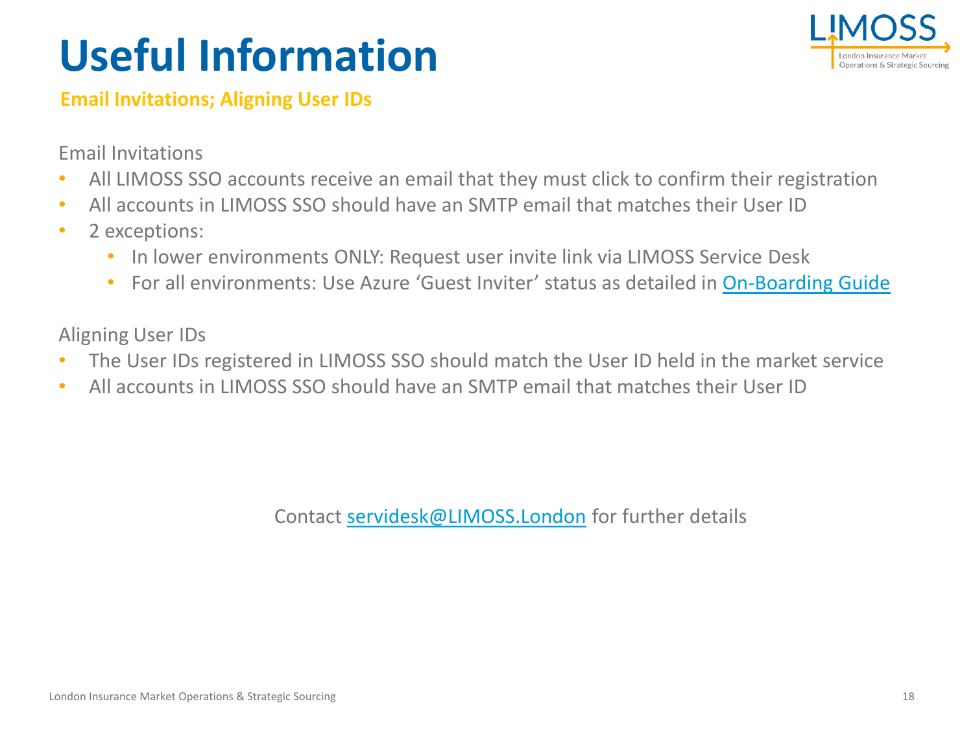# **Useful Information**



#### **Email Invitations; Aligning User IDs**

Email Invitations

- All LIMOSS SSO accounts receive an email that they must click to confirm their registration
- All accounts in LIMOSS SSO should have an SMTP email that matches their User ID
- 2 exceptions:
	- In lower environments ONLY: Request user invite link via LIMOSS Service Desk
	- For all environments: Use Azure 'Guest Inviter' status as detailed in [On-Boarding Guide](https://admin.limoss.london/wp-content/uploads/2020/09/LIMOSS-SSO-Technical-On-Boarding-Guide.pdf)

Aligning User IDs

- The User IDs registered in LIMOSS SSO should match the User ID held in the market service
- All accounts in LIMOSS SSO should have an SMTP email that matches their User ID

Contact [servidesk@LIMOSS.London](mailto:servidesk@LIMOSS.London) for further details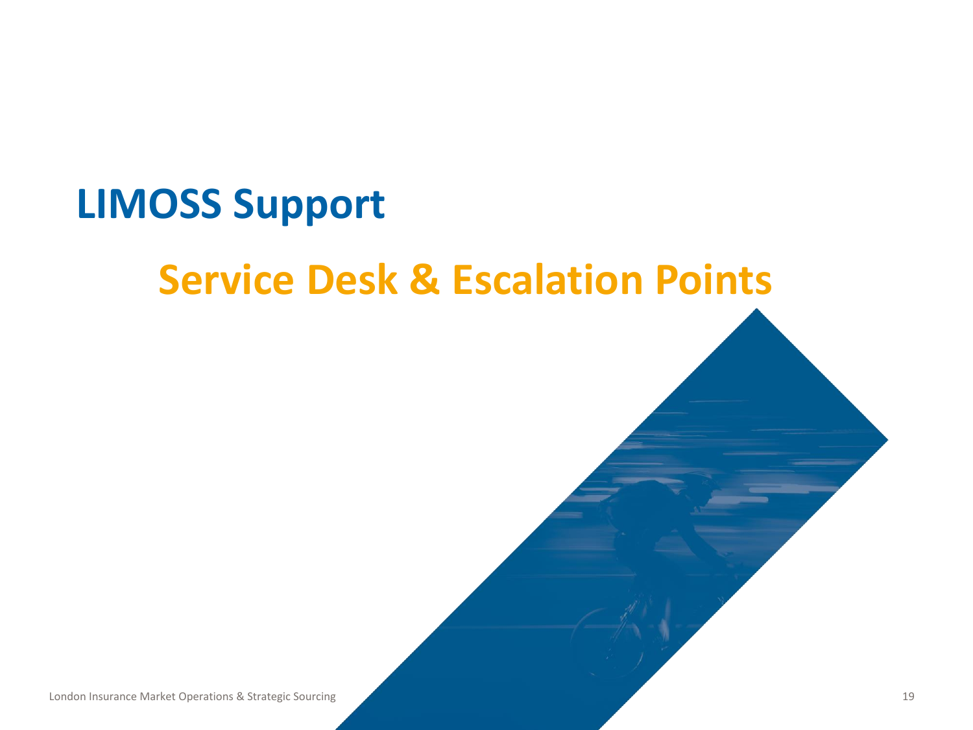### <span id="page-18-0"></span>**LIMOSS Support**

### **Service Desk & Escalation Points**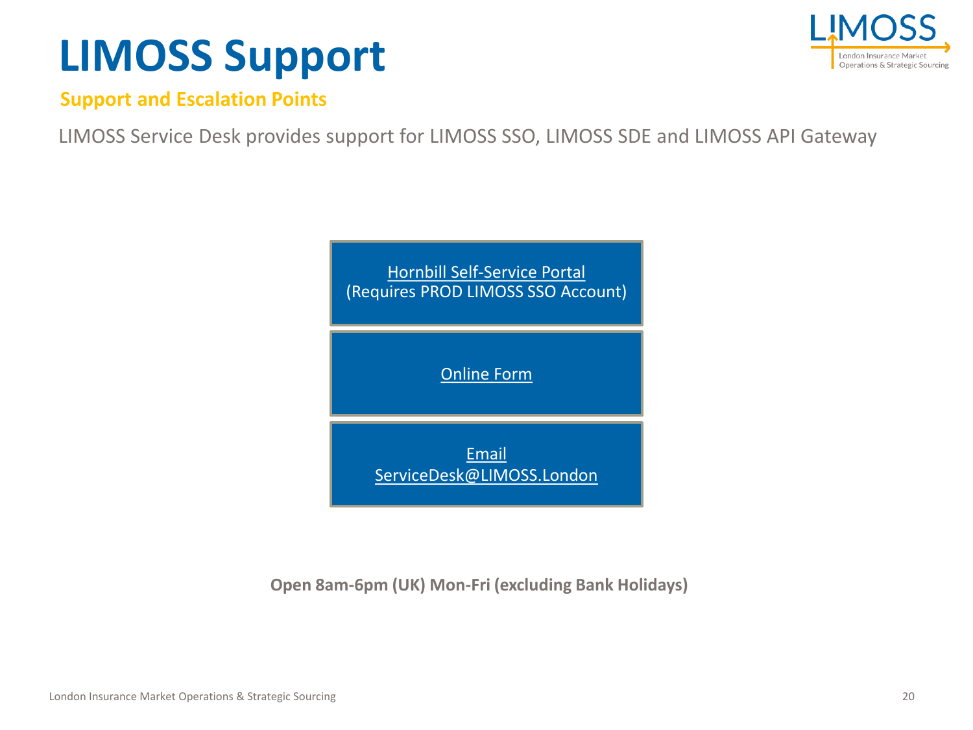# **LIMOSS Support**



**Support and Escalation Points**

LIMOSS Service Desk provides support for LIMOSS SSO, LIMOSS SDE and LIMOSS API Gateway



**Open 8am-6pm (UK) Mon-Fri (excluding Bank Holidays)**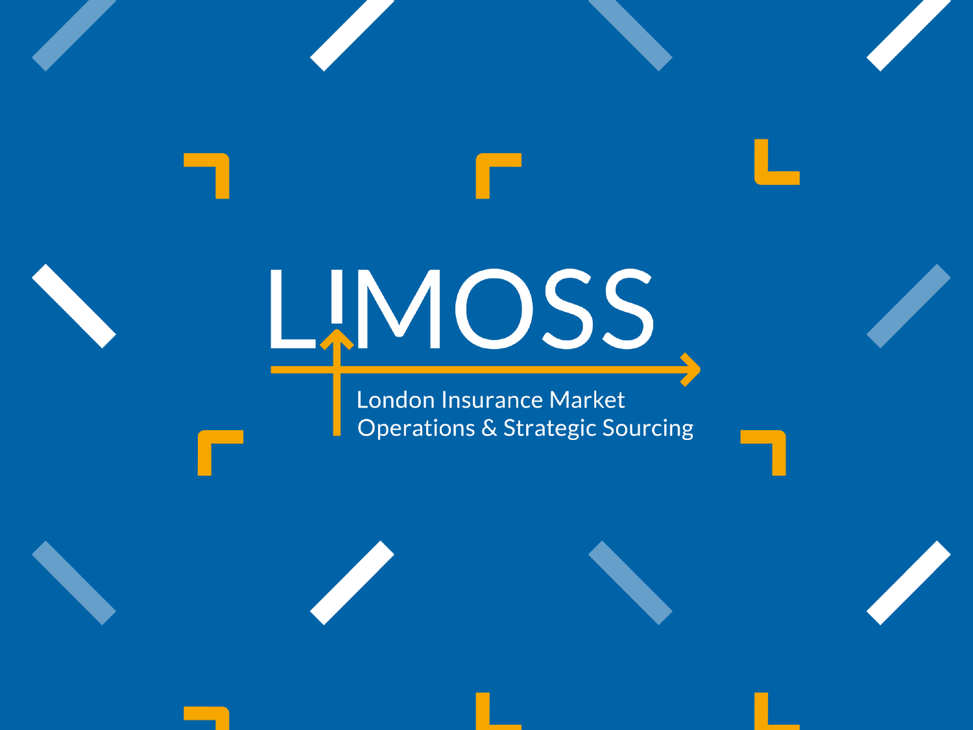# LMOSS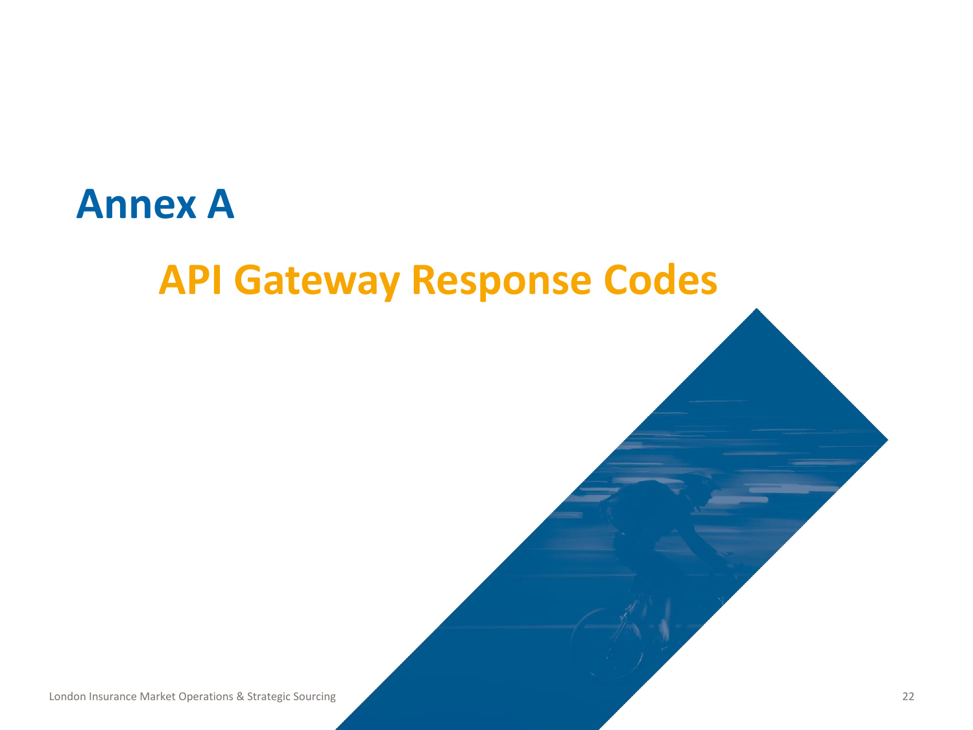### <span id="page-21-0"></span>**Annex A**

### **API Gateway Response Codes**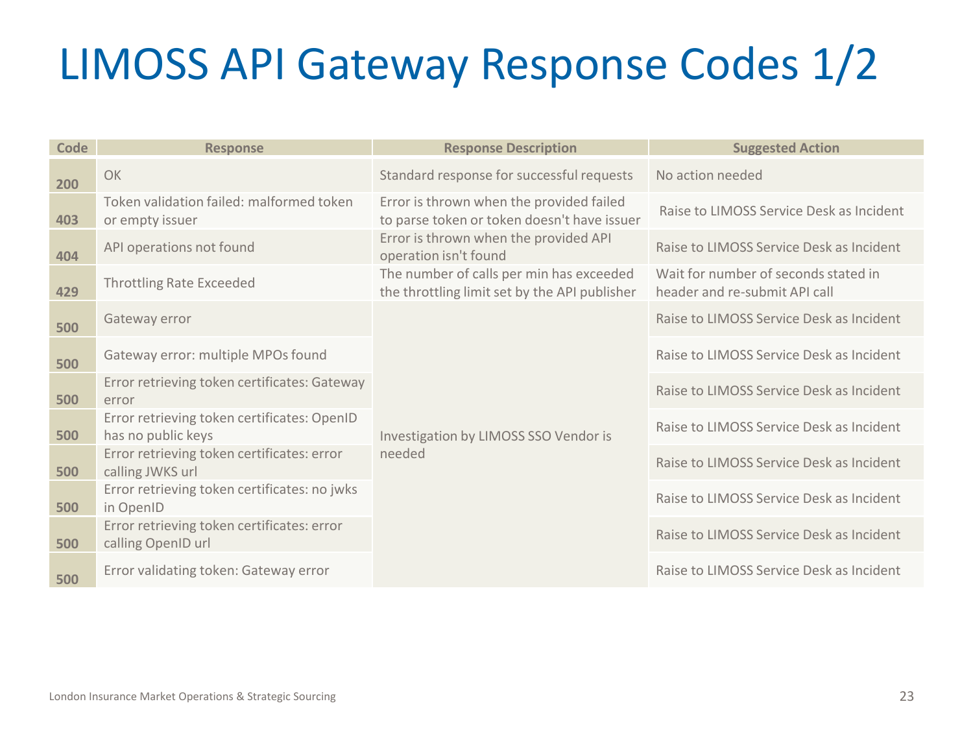# LIMOSS API Gateway Response Codes 1/2

| Code | <b>Response</b>                                                   | <b>Response Description</b>                                                               | <b>Suggested Action</b>                                               |
|------|-------------------------------------------------------------------|-------------------------------------------------------------------------------------------|-----------------------------------------------------------------------|
| 200  | OK                                                                | Standard response for successful requests                                                 | No action needed                                                      |
| 403  | Token validation failed: malformed token<br>or empty issuer       | Error is thrown when the provided failed<br>to parse token or token doesn't have issuer   | Raise to LIMOSS Service Desk as Incident                              |
| 404  | API operations not found                                          | Error is thrown when the provided API<br>operation isn't found                            | Raise to LIMOSS Service Desk as Incident                              |
| 429  | <b>Throttling Rate Exceeded</b>                                   | The number of calls per min has exceeded<br>the throttling limit set by the API publisher | Wait for number of seconds stated in<br>header and re-submit API call |
| 500  | Gateway error                                                     |                                                                                           | Raise to LIMOSS Service Desk as Incident                              |
| 500  | Gateway error: multiple MPOs found                                |                                                                                           | Raise to LIMOSS Service Desk as Incident                              |
| 500  | Error retrieving token certificates: Gateway<br>error             |                                                                                           | Raise to LIMOSS Service Desk as Incident                              |
| 500  | Error retrieving token certificates: OpenID<br>has no public keys | Investigation by LIMOSS SSO Vendor is                                                     | Raise to LIMOSS Service Desk as Incident                              |
| 500  | Error retrieving token certificates: error<br>calling JWKS url    | needed                                                                                    | Raise to LIMOSS Service Desk as Incident                              |
| 500  | Error retrieving token certificates: no jwks<br>in OpenID         |                                                                                           | Raise to LIMOSS Service Desk as Incident                              |
| 500  | Error retrieving token certificates: error<br>calling OpenID url  |                                                                                           | Raise to LIMOSS Service Desk as Incident                              |
| 500  | Error validating token: Gateway error                             |                                                                                           | Raise to LIMOSS Service Desk as Incident                              |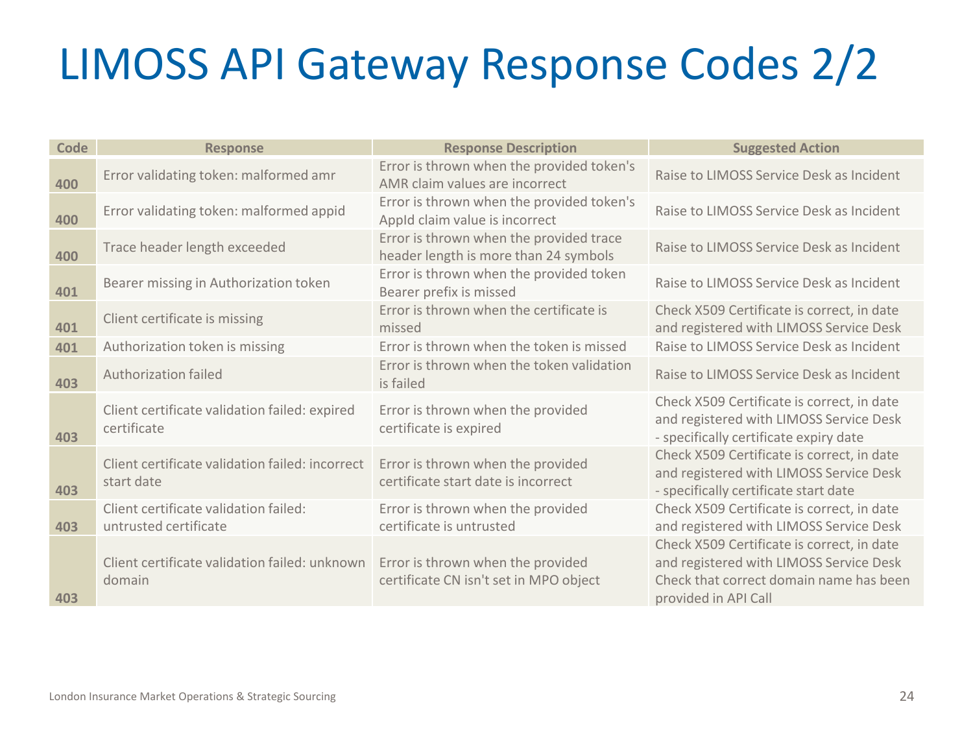# LIMOSS API Gateway Response Codes 2/2

| Code | <b>Response</b>                                                | <b>Response Description</b>                                                      | <b>Suggested Action</b>                                                                                                                                  |
|------|----------------------------------------------------------------|----------------------------------------------------------------------------------|----------------------------------------------------------------------------------------------------------------------------------------------------------|
| 400  | Error validating token: malformed amr                          | Error is thrown when the provided token's<br>AMR claim values are incorrect      | Raise to LIMOSS Service Desk as Incident                                                                                                                 |
| 400  | Error validating token: malformed appid                        | Error is thrown when the provided token's<br>Appld claim value is incorrect      | Raise to LIMOSS Service Desk as Incident                                                                                                                 |
| 400  | Trace header length exceeded                                   | Error is thrown when the provided trace<br>header length is more than 24 symbols | Raise to LIMOSS Service Desk as Incident                                                                                                                 |
| 401  | Bearer missing in Authorization token                          | Error is thrown when the provided token<br>Bearer prefix is missed               | Raise to LIMOSS Service Desk as Incident                                                                                                                 |
| 401  | Client certificate is missing                                  | Error is thrown when the certificate is<br>missed                                | Check X509 Certificate is correct, in date<br>and registered with LIMOSS Service Desk                                                                    |
| 401  | Authorization token is missing                                 | Error is thrown when the token is missed                                         | Raise to LIMOSS Service Desk as Incident                                                                                                                 |
| 403  | <b>Authorization failed</b>                                    | Error is thrown when the token validation<br>is failed                           | Raise to LIMOSS Service Desk as Incident                                                                                                                 |
| 403  | Client certificate validation failed: expired<br>certificate   | Error is thrown when the provided<br>certificate is expired                      | Check X509 Certificate is correct, in date<br>and registered with LIMOSS Service Desk<br>- specifically certificate expiry date                          |
| 403  | Client certificate validation failed: incorrect<br>start date  | Error is thrown when the provided<br>certificate start date is incorrect         | Check X509 Certificate is correct, in date<br>and registered with LIMOSS Service Desk<br>- specifically certificate start date                           |
| 403  | Client certificate validation failed:<br>untrusted certificate | Error is thrown when the provided<br>certificate is untrusted                    | Check X509 Certificate is correct, in date<br>and registered with LIMOSS Service Desk                                                                    |
| 403  | Client certificate validation failed: unknown<br>domain        | Error is thrown when the provided<br>certificate CN isn't set in MPO object      | Check X509 Certificate is correct, in date<br>and registered with LIMOSS Service Desk<br>Check that correct domain name has been<br>provided in API Call |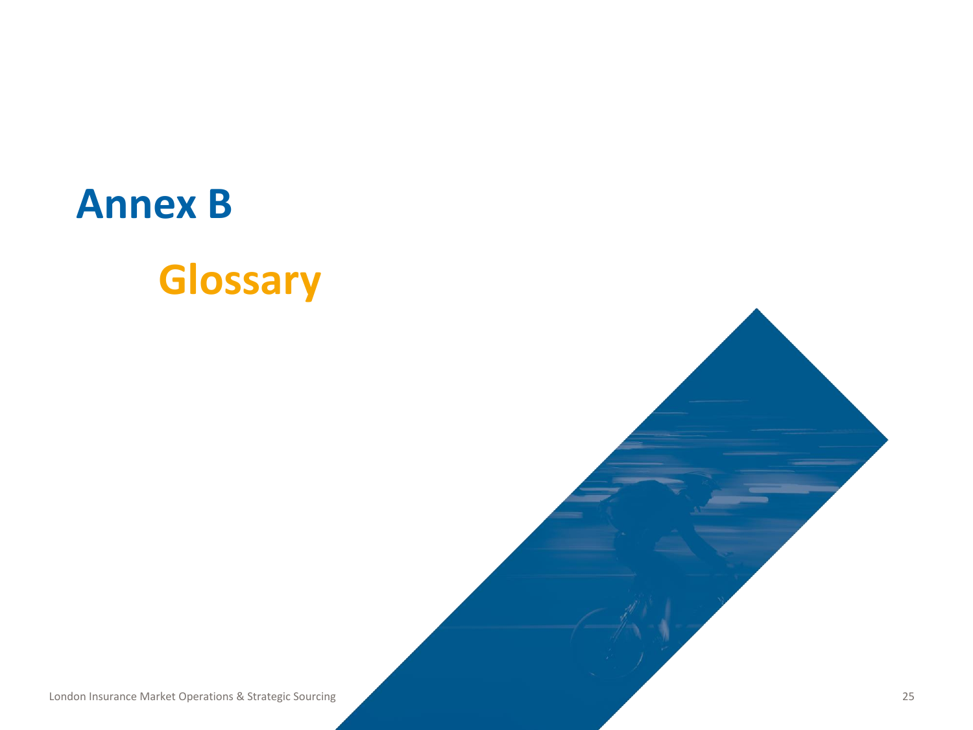# <span id="page-24-0"></span>**Annex B Glossary**